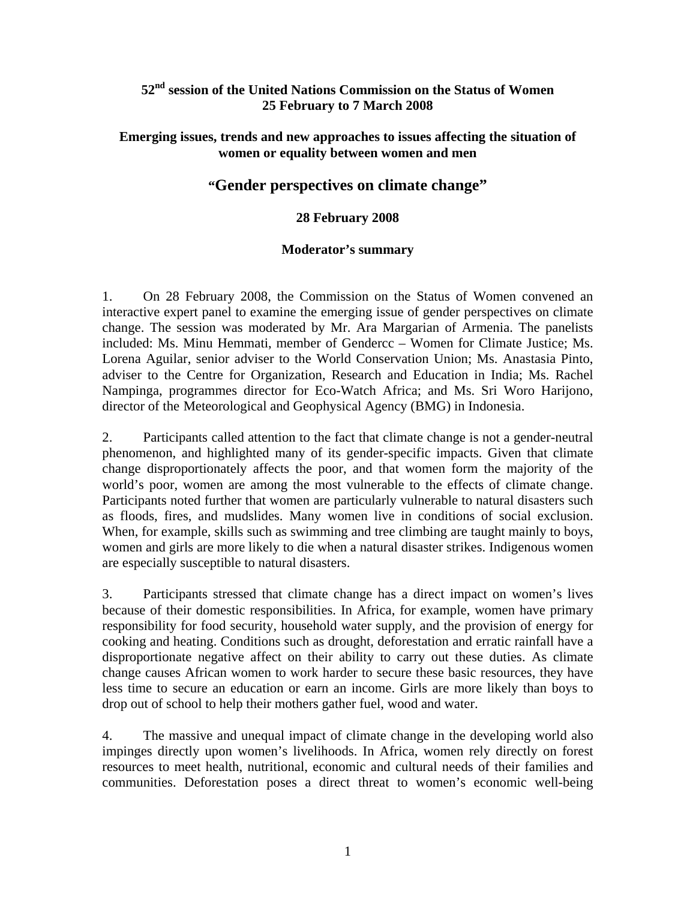# **52nd session of the United Nations Commission on the Status of Women 25 February to 7 March 2008**

### **Emerging issues, trends and new approaches to issues affecting the situation of women or equality between women and men**

# **"Gender perspectives on climate change"**

### **28 February 2008**

#### **Moderator's summary**

1. On 28 February 2008, the Commission on the Status of Women convened an interactive expert panel to examine the emerging issue of gender perspectives on climate change. The session was moderated by Mr. Ara Margarian of Armenia. The panelists included: Ms. Minu Hemmati, member of Gendercc – Women for Climate Justice; Ms. Lorena Aguilar, senior adviser to the World Conservation Union; Ms. Anastasia Pinto, adviser to the Centre for Organization, Research and Education in India; Ms. Rachel Nampinga, programmes director for Eco-Watch Africa; and Ms. Sri Woro Harijono, director of the Meteorological and Geophysical Agency (BMG) in Indonesia.

2. Participants called attention to the fact that climate change is not a gender-neutral phenomenon, and highlighted many of its gender-specific impacts. Given that climate change disproportionately affects the poor, and that women form the majority of the world's poor, women are among the most vulnerable to the effects of climate change. Participants noted further that women are particularly vulnerable to natural disasters such as floods, fires, and mudslides. Many women live in conditions of social exclusion. When, for example, skills such as swimming and tree climbing are taught mainly to boys, women and girls are more likely to die when a natural disaster strikes. Indigenous women are especially susceptible to natural disasters.

3. Participants stressed that climate change has a direct impact on women's lives because of their domestic responsibilities. In Africa, for example, women have primary responsibility for food security, household water supply, and the provision of energy for cooking and heating. Conditions such as drought, deforestation and erratic rainfall have a disproportionate negative affect on their ability to carry out these duties. As climate change causes African women to work harder to secure these basic resources, they have less time to secure an education or earn an income. Girls are more likely than boys to drop out of school to help their mothers gather fuel, wood and water.

4. The massive and unequal impact of climate change in the developing world also impinges directly upon women's livelihoods. In Africa, women rely directly on forest resources to meet health, nutritional, economic and cultural needs of their families and communities. Deforestation poses a direct threat to women's economic well-being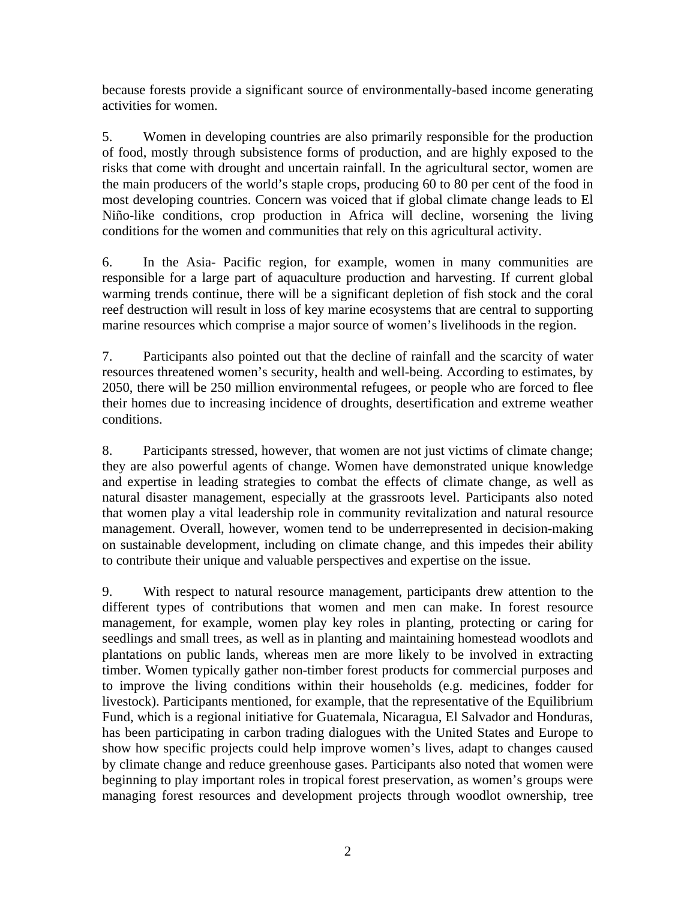because forests provide a significant source of environmentally-based income generating activities for women.

5. Women in developing countries are also primarily responsible for the production of food, mostly through subsistence forms of production, and are highly exposed to the risks that come with drought and uncertain rainfall. In the agricultural sector, women are the main producers of the world's staple crops, producing 60 to 80 per cent of the food in most developing countries. Concern was voiced that if global climate change leads to El Niño-like conditions, crop production in Africa will decline, worsening the living conditions for the women and communities that rely on this agricultural activity.

6. In the Asia- Pacific region, for example, women in many communities are responsible for a large part of aquaculture production and harvesting. If current global warming trends continue, there will be a significant depletion of fish stock and the coral reef destruction will result in loss of key marine ecosystems that are central to supporting marine resources which comprise a major source of women's livelihoods in the region.

7. Participants also pointed out that the decline of rainfall and the scarcity of water resources threatened women's security, health and well-being. According to estimates, by 2050, there will be 250 million environmental refugees, or people who are forced to flee their homes due to increasing incidence of droughts, desertification and extreme weather conditions.

8. Participants stressed, however, that women are not just victims of climate change; they are also powerful agents of change. Women have demonstrated unique knowledge and expertise in leading strategies to combat the effects of climate change, as well as natural disaster management, especially at the grassroots level. Participants also noted that women play a vital leadership role in community revitalization and natural resource management. Overall, however, women tend to be underrepresented in decision-making on sustainable development, including on climate change, and this impedes their ability to contribute their unique and valuable perspectives and expertise on the issue.

9. With respect to natural resource management, participants drew attention to the different types of contributions that women and men can make. In forest resource management, for example, women play key roles in planting, protecting or caring for seedlings and small trees, as well as in planting and maintaining homestead woodlots and plantations on public lands, whereas men are more likely to be involved in extracting timber. Women typically gather non-timber forest products for commercial purposes and to improve the living conditions within their households (e.g. medicines, fodder for livestock). Participants mentioned, for example, that the representative of the Equilibrium Fund, which is a regional initiative for Guatemala, Nicaragua, El Salvador and Honduras, has been participating in carbon trading dialogues with the United States and Europe to show how specific projects could help improve women's lives, adapt to changes caused by climate change and reduce greenhouse gases. Participants also noted that women were beginning to play important roles in tropical forest preservation, as women's groups were managing forest resources and development projects through woodlot ownership, tree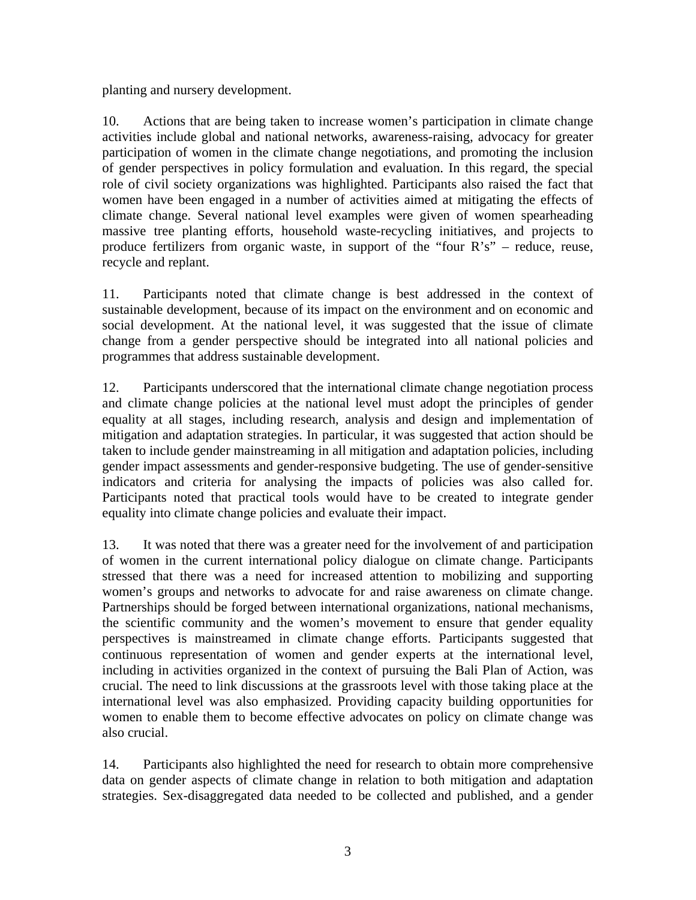planting and nursery development.

10. Actions that are being taken to increase women's participation in climate change activities include global and national networks, awareness-raising, advocacy for greater participation of women in the climate change negotiations, and promoting the inclusion of gender perspectives in policy formulation and evaluation. In this regard, the special role of civil society organizations was highlighted. Participants also raised the fact that women have been engaged in a number of activities aimed at mitigating the effects of climate change. Several national level examples were given of women spearheading massive tree planting efforts, household waste-recycling initiatives, and projects to produce fertilizers from organic waste, in support of the "four R's" – reduce, reuse, recycle and replant.

11. Participants noted that climate change is best addressed in the context of sustainable development, because of its impact on the environment and on economic and social development. At the national level, it was suggested that the issue of climate change from a gender perspective should be integrated into all national policies and programmes that address sustainable development.

12. Participants underscored that the international climate change negotiation process and climate change policies at the national level must adopt the principles of gender equality at all stages, including research, analysis and design and implementation of mitigation and adaptation strategies. In particular, it was suggested that action should be taken to include gender mainstreaming in all mitigation and adaptation policies, including gender impact assessments and gender-responsive budgeting. The use of gender-sensitive indicators and criteria for analysing the impacts of policies was also called for. Participants noted that practical tools would have to be created to integrate gender equality into climate change policies and evaluate their impact.

13. It was noted that there was a greater need for the involvement of and participation of women in the current international policy dialogue on climate change. Participants stressed that there was a need for increased attention to mobilizing and supporting women's groups and networks to advocate for and raise awareness on climate change. Partnerships should be forged between international organizations, national mechanisms, the scientific community and the women's movement to ensure that gender equality perspectives is mainstreamed in climate change efforts. Participants suggested that continuous representation of women and gender experts at the international level, including in activities organized in the context of pursuing the Bali Plan of Action, was crucial. The need to link discussions at the grassroots level with those taking place at the international level was also emphasized. Providing capacity building opportunities for women to enable them to become effective advocates on policy on climate change was also crucial.

14. Participants also highlighted the need for research to obtain more comprehensive data on gender aspects of climate change in relation to both mitigation and adaptation strategies. Sex-disaggregated data needed to be collected and published, and a gender